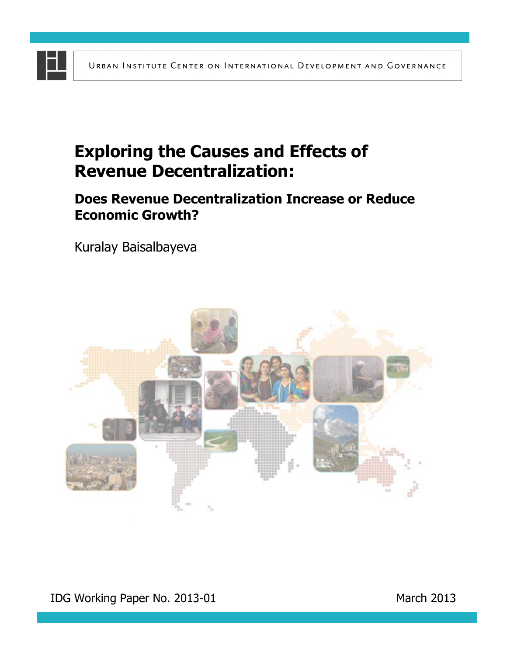# **Exploring the Causes and Effects of Revenue Decentralization:**

### **Does Revenue Decentralization Increase or Reduce Economic Growth?**

Kuralay Baisalbayeva

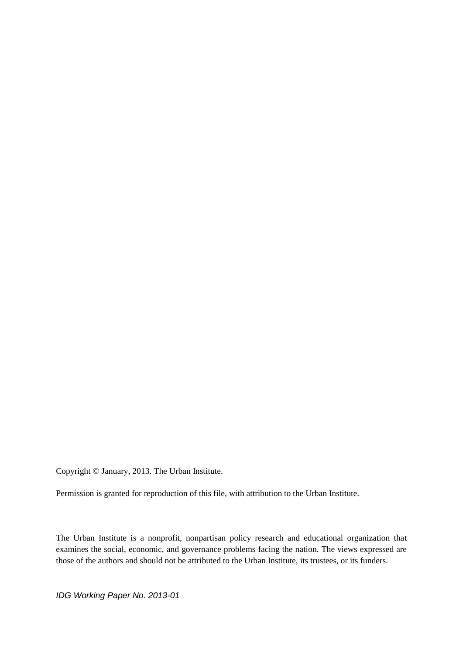Copyright © January, 2013. The Urban Institute.

Permission is granted for reproduction of this file, with attribution to the Urban Institute.

The Urban Institute is a nonprofit, nonpartisan policy research and educational organization that examines the social, economic, and governance problems facing the nation. The views expressed are those of the authors and should not be attributed to the Urban Institute, its trustees, or its funders.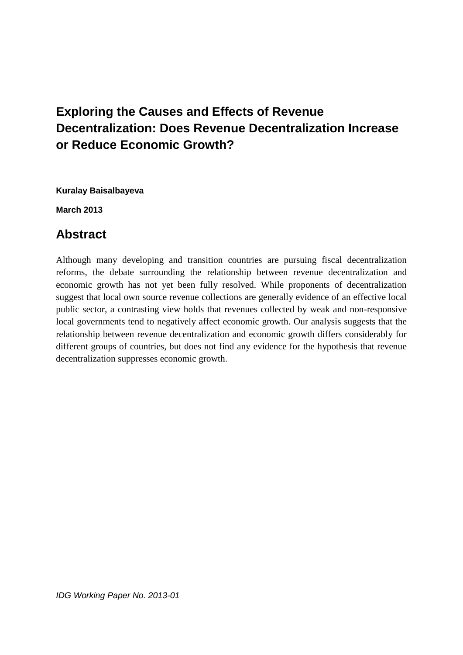## **Exploring the Causes and Effects of Revenue Decentralization: Does Revenue Decentralization Increase or Reduce Economic Growth?**

**Kuralay Baisalbayeva**

**March 2013**

## **Abstract**

Although many developing and transition countries are pursuing fiscal decentralization reforms, the debate surrounding the relationship between revenue decentralization and economic growth has not yet been fully resolved. While proponents of decentralization suggest that local own source revenue collections are generally evidence of an effective local public sector, a contrasting view holds that revenues collected by weak and non-responsive local governments tend to negatively affect economic growth. Our analysis suggests that the relationship between revenue decentralization and economic growth differs considerably for different groups of countries, but does not find any evidence for the hypothesis that revenue decentralization suppresses economic growth.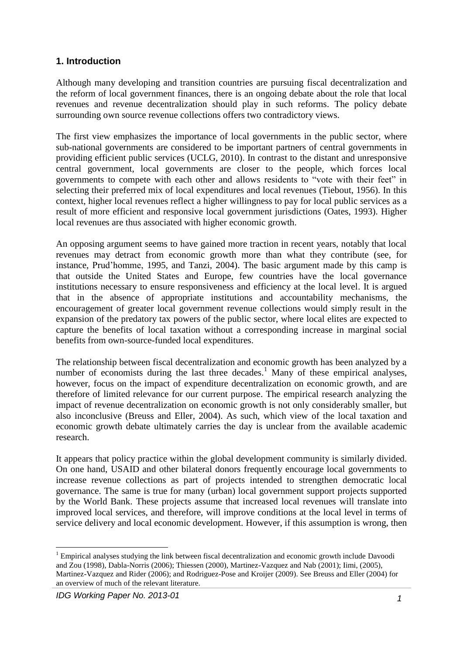#### **1. Introduction**

Although many developing and transition countries are pursuing fiscal decentralization and the reform of local government finances, there is an ongoing debate about the role that local revenues and revenue decentralization should play in such reforms. The policy debate surrounding own source revenue collections offers two contradictory views.

The first view emphasizes the importance of local governments in the public sector, where sub-national governments are considered to be important partners of central governments in providing efficient public services (UCLG, 2010). In contrast to the distant and unresponsive central government, local governments are closer to the people, which forces local governments to compete with each other and allows residents to "vote with their feet" in selecting their preferred mix of local expenditures and local revenues (Tiebout, 1956). In this context, higher local revenues reflect a higher willingness to pay for local public services as a result of more efficient and responsive local government jurisdictions (Oates, 1993). Higher local revenues are thus associated with higher economic growth.

An opposing argument seems to have gained more traction in recent years, notably that local revenues may detract from economic growth more than what they contribute (see, for instance, Prud'homme, 1995, and Tanzi, 2004). The basic argument made by this camp is that outside the United States and Europe, few countries have the local governance institutions necessary to ensure responsiveness and efficiency at the local level. It is argued that in the absence of appropriate institutions and accountability mechanisms, the encouragement of greater local government revenue collections would simply result in the expansion of the predatory tax powers of the public sector, where local elites are expected to capture the benefits of local taxation without a corresponding increase in marginal social benefits from own-source-funded local expenditures.

The relationship between fiscal decentralization and economic growth has been analyzed by a number of economists during the last three decades.<sup>1</sup> Many of these empirical analyses, however, focus on the impact of expenditure decentralization on economic growth, and are therefore of limited relevance for our current purpose. The empirical research analyzing the impact of revenue decentralization on economic growth is not only considerably smaller, but also inconclusive (Breuss and Eller, 2004). As such, which view of the local taxation and economic growth debate ultimately carries the day is unclear from the available academic research.

It appears that policy practice within the global development community is similarly divided. On one hand, USAID and other bilateral donors frequently encourage local governments to increase revenue collections as part of projects intended to strengthen democratic local governance. The same is true for many (urban) local government support projects supported by the World Bank. These projects assume that increased local revenues will translate into improved local services, and therefore, will improve conditions at the local level in terms of service delivery and local economic development. However, if this assumption is wrong, then

**<sup>.</sup>** <sup>1</sup> Empirical analyses studying the link between fiscal decentralization and economic growth include Davoodi and Zou (1998), Dabla-Norris (2006); Thiessen (2000), Martinez-Vazquez and Nab (2001); Iimi, (2005), Martinez-Vazquez and Rider (2006); and Rodriguez-Pose and Kroijer (2009). See Breuss and Eller (2004) for an overview of much of the relevant literature.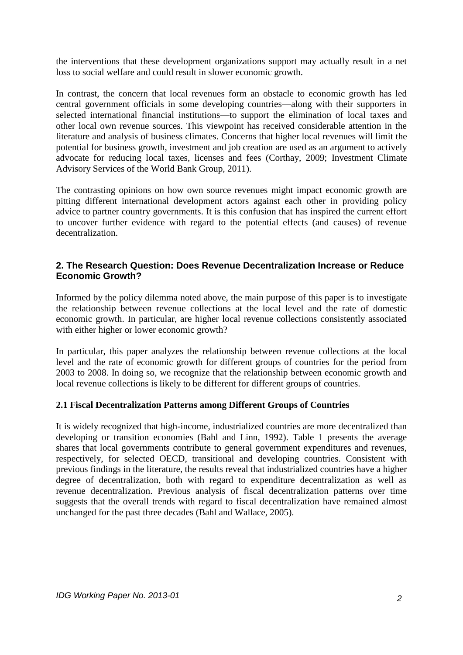the interventions that these development organizations support may actually result in a net loss to social welfare and could result in slower economic growth.

In contrast, the concern that local revenues form an obstacle to economic growth has led central government officials in some developing countries—along with their supporters in selected international financial institutions—to support the elimination of local taxes and other local own revenue sources. This viewpoint has received considerable attention in the literature and analysis of business climates. Concerns that higher local revenues will limit the potential for business growth, investment and job creation are used as an argument to actively advocate for reducing local taxes, licenses and fees (Corthay, 2009; Investment Climate Advisory Services of the World Bank Group, 2011).

The contrasting opinions on how own source revenues might impact economic growth are pitting different international development actors against each other in providing policy advice to partner country governments. It is this confusion that has inspired the current effort to uncover further evidence with regard to the potential effects (and causes) of revenue decentralization.

#### **2. The Research Question: Does Revenue Decentralization Increase or Reduce Economic Growth?**

Informed by the policy dilemma noted above, the main purpose of this paper is to investigate the relationship between revenue collections at the local level and the rate of domestic economic growth. In particular, are higher local revenue collections consistently associated with either higher or lower economic growth?

In particular, this paper analyzes the relationship between revenue collections at the local level and the rate of economic growth for different groups of countries for the period from 2003 to 2008. In doing so, we recognize that the relationship between economic growth and local revenue collections is likely to be different for different groups of countries.

#### **2.1 Fiscal Decentralization Patterns among Different Groups of Countries**

It is widely recognized that high-income, industrialized countries are more decentralized than developing or transition economies (Bahl and Linn, 1992). Table 1 presents the average shares that local governments contribute to general government expenditures and revenues, respectively, for selected OECD, transitional and developing countries. Consistent with previous findings in the literature, the results reveal that industrialized countries have a higher degree of decentralization, both with regard to expenditure decentralization as well as revenue decentralization. Previous analysis of fiscal decentralization patterns over time suggests that the overall trends with regard to fiscal decentralization have remained almost unchanged for the past three decades (Bahl and Wallace, 2005).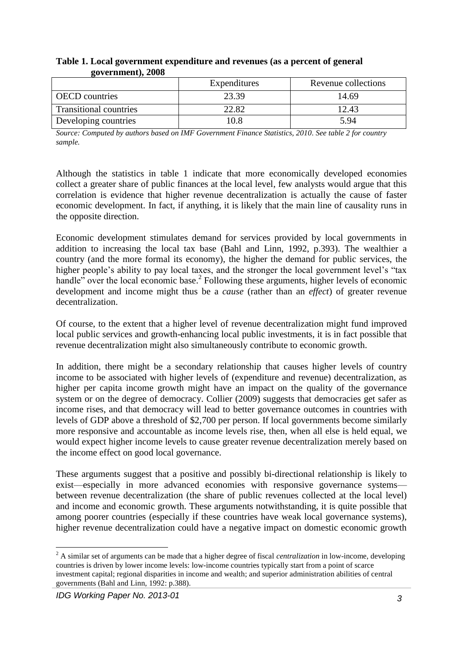|                               | Expenditures | Revenue collections |
|-------------------------------|--------------|---------------------|
| <b>OECD</b> countries         | 23.39        | 14.69               |
| <b>Transitional countries</b> | 22.82        | 12.43               |
| Developing countries          | 0.8          | 5.94                |

#### **Table 1. Local government expenditure and revenues (as a percent of general government), 2008**

*Source: Computed by authors based on IMF Government Finance Statistics, 2010. See table 2 for country sample.*

Although the statistics in table 1 indicate that more economically developed economies collect a greater share of public finances at the local level, few analysts would argue that this correlation is evidence that higher revenue decentralization is actually the cause of faster economic development. In fact, if anything, it is likely that the main line of causality runs in the opposite direction.

Economic development stimulates demand for services provided by local governments in addition to increasing the local tax base (Bahl and Linn, 1992, p.393). The wealthier a country (and the more formal its economy), the higher the demand for public services, the higher people's ability to pay local taxes, and the stronger the local government level's "tax handle" over the local economic base.<sup>2</sup> Following these arguments, higher levels of economic development and income might thus be a *cause* (rather than an *effect*) of greater revenue decentralization.

Of course, to the extent that a higher level of revenue decentralization might fund improved local public services and growth-enhancing local public investments, it is in fact possible that revenue decentralization might also simultaneously contribute to economic growth.

In addition, there might be a secondary relationship that causes higher levels of country income to be associated with higher levels of (expenditure and revenue) decentralization, as higher per capita income growth might have an impact on the quality of the governance system or on the degree of democracy. Collier (2009) suggests that democracies get safer as income rises, and that democracy will lead to better governance outcomes in countries with levels of GDP above a threshold of \$2,700 per person. If local governments become similarly more responsive and accountable as income levels rise, then, when all else is held equal, we would expect higher income levels to cause greater revenue decentralization merely based on the income effect on good local governance.

These arguments suggest that a positive and possibly bi-directional relationship is likely to exist—especially in more advanced economies with responsive governance systems between revenue decentralization (the share of public revenues collected at the local level) and income and economic growth. These arguments notwithstanding, it is quite possible that among poorer countries (especially if these countries have weak local governance systems), higher revenue decentralization could have a negative impact on domestic economic growth

**.** 

<sup>2</sup> A similar set of arguments can be made that a higher degree of fiscal *centralization* in low-income, developing countries is driven by lower income levels: low-income countries typically start from a point of scarce investment capital; regional disparities in income and wealth; and superior administration abilities of central governments (Bahl and Linn, 1992: p.388).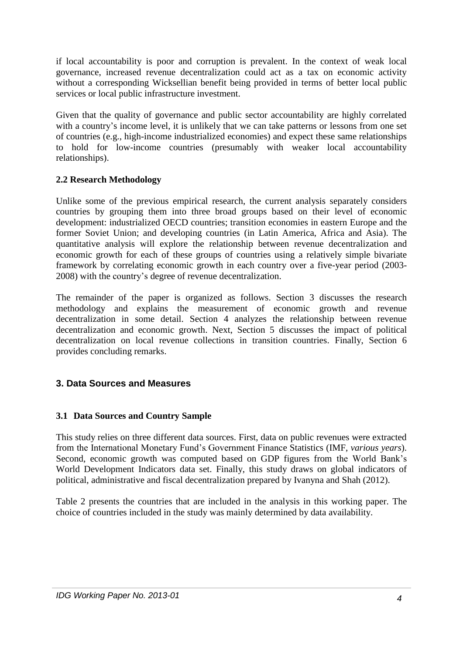if local accountability is poor and corruption is prevalent. In the context of weak local governance, increased revenue decentralization could act as a tax on economic activity without a corresponding Wicksellian benefit being provided in terms of better local public services or local public infrastructure investment.

Given that the quality of governance and public sector accountability are highly correlated with a country's income level, it is unlikely that we can take patterns or lessons from one set of countries (e.g., high-income industrialized economies) and expect these same relationships to hold for low-income countries (presumably with weaker local accountability relationships).

#### **2.2 Research Methodology**

Unlike some of the previous empirical research, the current analysis separately considers countries by grouping them into three broad groups based on their level of economic development: industrialized OECD countries; transition economies in eastern Europe and the former Soviet Union; and developing countries (in Latin America, Africa and Asia). The quantitative analysis will explore the relationship between revenue decentralization and economic growth for each of these groups of countries using a relatively simple bivariate framework by correlating economic growth in each country over a five-year period (2003- 2008) with the country's degree of revenue decentralization.

The remainder of the paper is organized as follows. Section 3 discusses the research methodology and explains the measurement of economic growth and revenue decentralization in some detail. Section 4 analyzes the relationship between revenue decentralization and economic growth. Next, Section 5 discusses the impact of political decentralization on local revenue collections in transition countries. Finally, Section 6 provides concluding remarks.

#### **3. Data Sources and Measures**

#### **3.1 Data Sources and Country Sample**

This study relies on three different data sources. First, data on public revenues were extracted from the International Monetary Fund's Government Finance Statistics (IMF, *various years*). Second, economic growth was computed based on GDP figures from the World Bank's World Development Indicators data set. Finally, this study draws on global indicators of political, administrative and fiscal decentralization prepared by Ivanyna and Shah (2012).

Table 2 presents the countries that are included in the analysis in this working paper. The choice of countries included in the study was mainly determined by data availability.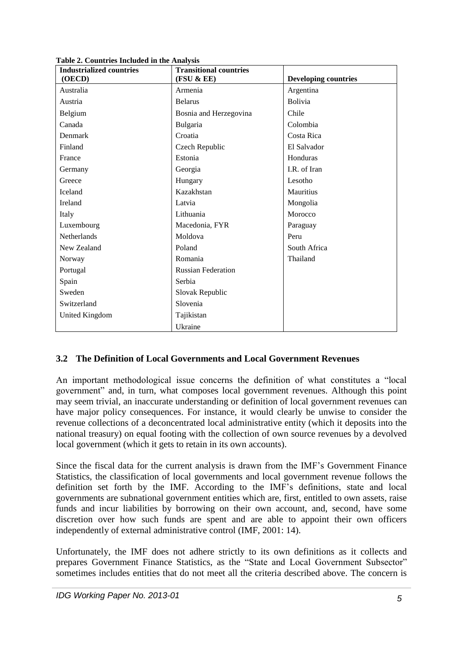| <b>Industrialized countries</b> | <b>Transitional countries</b> |                             |
|---------------------------------|-------------------------------|-----------------------------|
| (OECD)                          | (FSU & E)                     | <b>Developing countries</b> |
| Australia                       | Armenia                       | Argentina                   |
| Austria                         | <b>Belarus</b>                | <b>Bolivia</b>              |
| Belgium                         | Bosnia and Herzegovina        | Chile                       |
| Canada                          | Bulgaria                      | Colombia                    |
| Denmark                         | Croatia                       | Costa Rica                  |
| Finland                         | Czech Republic                | El Salvador                 |
| France                          | Estonia                       | Honduras                    |
| Germany                         | Georgia                       | I.R. of Iran                |
| Greece                          | Hungary                       | Lesotho                     |
| Iceland                         | Kazakhstan                    | Mauritius                   |
| Ireland                         | Latvia                        | Mongolia                    |
| Italy                           | Lithuania                     | Morocco                     |
| Luxembourg                      | Macedonia, FYR                | Paraguay                    |
| Netherlands                     | Moldova                       | Peru                        |
| New Zealand                     | Poland                        | South Africa                |
| Norway                          | Romania                       | Thailand                    |
| Portugal                        | <b>Russian Federation</b>     |                             |
| Spain                           | Serbia                        |                             |
| Sweden                          | Slovak Republic               |                             |
| Switzerland                     | Slovenia                      |                             |
| <b>United Kingdom</b>           | Tajikistan                    |                             |
|                                 | Ukraine                       |                             |

**Table 2. Countries Included in the Analysis**

#### **3.2 The Definition of Local Governments and Local Government Revenues**

An important methodological issue concerns the definition of what constitutes a "local government" and, in turn, what composes local government revenues. Although this point may seem trivial, an inaccurate understanding or definition of local government revenues can have major policy consequences. For instance, it would clearly be unwise to consider the revenue collections of a deconcentrated local administrative entity (which it deposits into the national treasury) on equal footing with the collection of own source revenues by a devolved local government (which it gets to retain in its own accounts).

Since the fiscal data for the current analysis is drawn from the IMF's Government Finance Statistics, the classification of local governments and local government revenue follows the definition set forth by the IMF. According to the IMF's definitions, state and local governments are subnational government entities which are, first, entitled to own assets, raise funds and incur liabilities by borrowing on their own account, and, second, have some discretion over how such funds are spent and are able to appoint their own officers independently of external administrative control (IMF, 2001: 14).

Unfortunately, the IMF does not adhere strictly to its own definitions as it collects and prepares Government Finance Statistics, as the "State and Local Government Subsector" sometimes includes entities that do not meet all the criteria described above. The concern is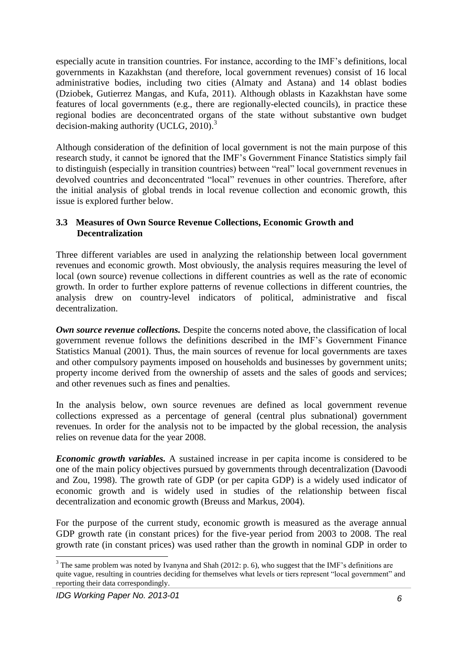especially acute in transition countries. For instance, according to the IMF's definitions, local governments in Kazakhstan (and therefore, local government revenues) consist of 16 local administrative bodies, including two cities (Almaty and Astana) and 14 oblast bodies (Dziobek, Gutierrez Mangas, and Kufa, 2011). Although oblasts in Kazakhstan have some features of local governments (e.g., there are regionally-elected councils), in practice these regional bodies are deconcentrated organs of the state without substantive own budget decision-making authority (UCLG, 2010).<sup>3</sup>

Although consideration of the definition of local government is not the main purpose of this research study, it cannot be ignored that the IMF's Government Finance Statistics simply fail to distinguish (especially in transition countries) between "real" local government revenues in devolved countries and deconcentrated "local" revenues in other countries. Therefore, after the initial analysis of global trends in local revenue collection and economic growth, this issue is explored further below.

#### **3.3 Measures of Own Source Revenue Collections, Economic Growth and Decentralization**

Three different variables are used in analyzing the relationship between local government revenues and economic growth. Most obviously, the analysis requires measuring the level of local (own source) revenue collections in different countries as well as the rate of economic growth. In order to further explore patterns of revenue collections in different countries, the analysis drew on country-level indicators of political, administrative and fiscal decentralization.

**Own source revenue collections.** Despite the concerns noted above, the classification of local government revenue follows the definitions described in the IMF's Government Finance Statistics Manual (2001). Thus, the main sources of revenue for local governments are taxes and other compulsory payments imposed on households and businesses by government units; property income derived from the ownership of assets and the sales of goods and services; and other revenues such as fines and penalties.

In the analysis below, own source revenues are defined as local government revenue collections expressed as a percentage of general (central plus subnational) government revenues. In order for the analysis not to be impacted by the global recession, the analysis relies on revenue data for the year 2008.

*Economic growth variables.* A sustained increase in per capita income is considered to be one of the main policy objectives pursued by governments through decentralization (Davoodi and Zou, 1998). The growth rate of GDP (or per capita GDP) is a widely used indicator of economic growth and is widely used in studies of the relationship between fiscal decentralization and economic growth (Breuss and Markus, 2004).

For the purpose of the current study, economic growth is measured as the average annual GDP growth rate (in constant prices) for the five-year period from 2003 to 2008. The real growth rate (in constant prices) was used rather than the growth in nominal GDP in order to

**<sup>.</sup>**  $3$  The same problem was noted by Ivanyna and Shah (2012: p. 6), who suggest that the IMF's definitions are quite vague, resulting in countries deciding for themselves what levels or tiers represent "local government" and reporting their data correspondingly.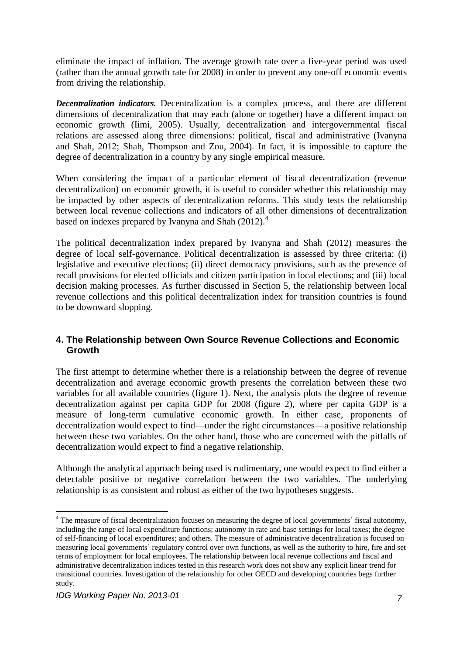eliminate the impact of inflation. The average growth rate over a five-year period was used (rather than the annual growth rate for 2008) in order to prevent any one-off economic events from driving the relationship.

*Decentralization indicators.* Decentralization is a complex process, and there are different dimensions of decentralization that may each (alone or together) have a different impact on economic growth (Iimi, 2005). Usually, decentralization and intergovernmental fiscal relations are assessed along three dimensions: political, fiscal and administrative (Ivanyna and Shah, 2012; Shah, Thompson and Zou, 2004). In fact, it is impossible to capture the degree of decentralization in a country by any single empirical measure.

When considering the impact of a particular element of fiscal decentralization (revenue decentralization) on economic growth, it is useful to consider whether this relationship may be impacted by other aspects of decentralization reforms. This study tests the relationship between local revenue collections and indicators of all other dimensions of decentralization based on indexes prepared by Ivanyna and Shah (2012).<sup>4</sup>

The political decentralization index prepared by Ivanyna and Shah (2012) measures the degree of local self-governance. Political decentralization is assessed by three criteria: (i) legislative and executive elections; (ii) direct democracy provisions, such as the presence of recall provisions for elected officials and citizen participation in local elections; and (iii) local decision making processes. As further discussed in Section 5, the relationship between local revenue collections and this political decentralization index for transition countries is found to be downward slopping.

#### **4. The Relationship between Own Source Revenue Collections and Economic Growth**

The first attempt to determine whether there is a relationship between the degree of revenue decentralization and average economic growth presents the correlation between these two variables for all available countries (figure 1). Next, the analysis plots the degree of revenue decentralization against per capita GDP for 2008 (figure 2), where per capita GDP is a measure of long-term cumulative economic growth. In either case, proponents of decentralization would expect to find—under the right circumstances—a positive relationship between these two variables. On the other hand, those who are concerned with the pitfalls of decentralization would expect to find a negative relationship.

Although the analytical approach being used is rudimentary, one would expect to find either a detectable positive or negative correlation between the two variables. The underlying relationship is as consistent and robust as either of the two hypotheses suggests.

 $\overline{\phantom{a}}$ 

<sup>&</sup>lt;sup>4</sup> The measure of fiscal decentralization focuses on measuring the degree of local governments' fiscal autonomy, including the range of local expenditure functions; autonomy in rate and base settings for local taxes; the degree of self-financing of local expenditures; and others. The measure of administrative decentralization is focused on measuring local governments' regulatory control over own functions, as well as the authority to hire, fire and set terms of employment for local employees. The relationship between local revenue collections and fiscal and administrative decentralization indices tested in this research work does not show any explicit linear trend for transitional countries. Investigation of the relationship for other OECD and developing countries begs further study.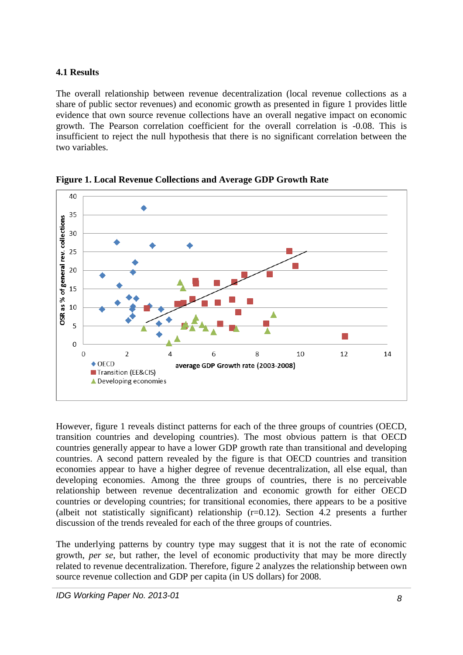#### **4.1 Results**

The overall relationship between revenue decentralization (local revenue collections as a share of public sector revenues) and economic growth as presented in figure 1 provides little evidence that own source revenue collections have an overall negative impact on economic growth. The Pearson correlation coefficient for the overall correlation is -0.08. This is insufficient to reject the null hypothesis that there is no significant correlation between the two variables.



**Figure 1. Local Revenue Collections and Average GDP Growth Rate** 

However, figure 1 reveals distinct patterns for each of the three groups of countries (OECD, transition countries and developing countries). The most obvious pattern is that OECD countries generally appear to have a lower GDP growth rate than transitional and developing countries. A second pattern revealed by the figure is that OECD countries and transition economies appear to have a higher degree of revenue decentralization, all else equal, than developing economies. Among the three groups of countries, there is no perceivable relationship between revenue decentralization and economic growth for either OECD countries or developing countries; for transitional economies, there appears to be a positive (albeit not statistically significant) relationship  $(r=0.12)$ . Section 4.2 presents a further discussion of the trends revealed for each of the three groups of countries.

The underlying patterns by country type may suggest that it is not the rate of economic growth, *per se*, but rather, the level of economic productivity that may be more directly related to revenue decentralization. Therefore, figure 2 analyzes the relationship between own source revenue collection and GDP per capita (in US dollars) for 2008.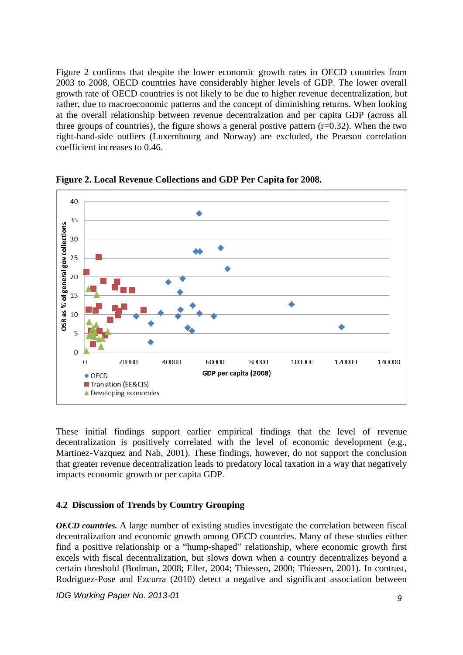Figure 2 confirms that despite the lower economic growth rates in OECD countries from 2003 to 2008, OECD countries have considerably higher levels of GDP. The lower overall growth rate of OECD countries is not likely to be due to higher revenue decentralization, but rather, due to macroeconomic patterns and the concept of diminishing returns. When looking at the overall relationship between revenue decentralzation and per capita GDP (across all three groups of countries), the figure shows a general postive pattern  $(r=0.32)$ . When the two right-hand-side outliers (Luxembourg and Norway) are excluded, the Pearson correlation coefficient increases to 0.46.



**Figure 2. Local Revenue Collections and GDP Per Capita for 2008.**

These initial findings support earlier empirical findings that the level of revenue decentralization is positively correlated with the level of economic development (e.g., Martinez-Vazquez and Nab, 2001). These findings, however, do not support the conclusion that greater revenue decentralization leads to predatory local taxation in a way that negatively impacts economic growth or per capita GDP.

#### **4.2 Discussion of Trends by Country Grouping**

*OECD countries.* A large number of existing studies investigate the correlation between fiscal decentralization and economic growth among OECD countries. Many of these studies either find a positive relationship or a "hump-shaped" relationship, where economic growth first excels with fiscal decentralization, but slows down when a country decentralizes beyond a certain threshold (Bodman, 2008; Eller, 2004; Thiessen, 2000; Thiessen, 2001). In contrast, Rodriguez-Pose and Ezcurra (2010) detect a negative and significant association between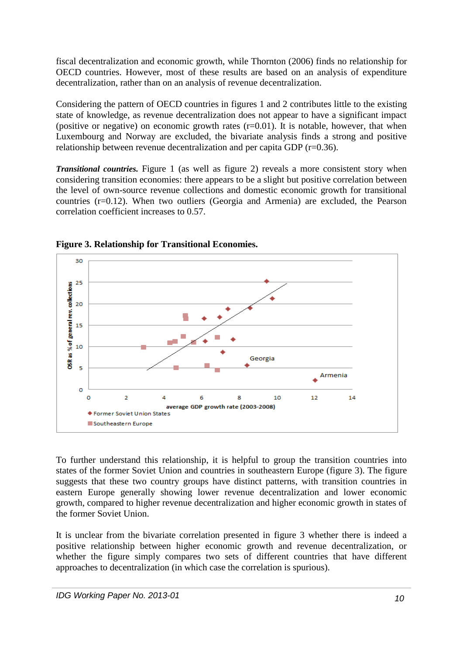fiscal decentralization and economic growth, while Thornton (2006) finds no relationship for OECD countries. However, most of these results are based on an analysis of expenditure decentralization, rather than on an analysis of revenue decentralization.

Considering the pattern of OECD countries in figures 1 and 2 contributes little to the existing state of knowledge, as revenue decentralization does not appear to have a significant impact (positive or negative) on economic growth rates  $(r=0.01)$ . It is notable, however, that when Luxembourg and Norway are excluded, the bivariate analysis finds a strong and positive relationship between revenue decentralization and per capita GDP (r=0.36).

*Transitional countries.* Figure 1 (as well as figure 2) reveals a more consistent story when considering transition economies: there appears to be a slight but positive correlation between the level of own-source revenue collections and domestic economic growth for transitional countries (r=0.12). When two outliers (Georgia and Armenia) are excluded, the Pearson correlation coefficient increases to 0.57.



**Figure 3. Relationship for Transitional Economies.**

To further understand this relationship, it is helpful to group the transition countries into states of the former Soviet Union and countries in southeastern Europe (figure 3). The figure suggests that these two country groups have distinct patterns, with transition countries in eastern Europe generally showing lower revenue decentralization and lower economic growth, compared to higher revenue decentralization and higher economic growth in states of the former Soviet Union.

It is unclear from the bivariate correlation presented in figure 3 whether there is indeed a positive relationship between higher economic growth and revenue decentralization, or whether the figure simply compares two sets of different countries that have different approaches to decentralization (in which case the correlation is spurious).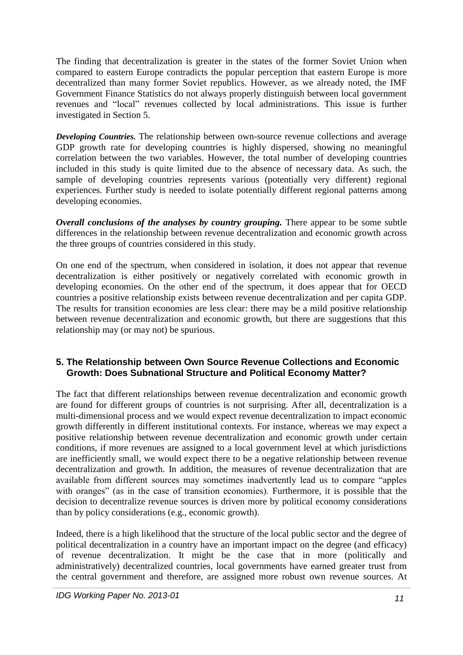The finding that decentralization is greater in the states of the former Soviet Union when compared to eastern Europe contradicts the popular perception that eastern Europe is more decentralized than many former Soviet republics. However, as we already noted, the IMF Government Finance Statistics do not always properly distinguish between local government revenues and "local" revenues collected by local administrations. This issue is further investigated in Section 5.

*Developing Countries.* The relationship between own-source revenue collections and average GDP growth rate for developing countries is highly dispersed, showing no meaningful correlation between the two variables. However, the total number of developing countries included in this study is quite limited due to the absence of necessary data. As such, the sample of developing countries represents various (potentially very different) regional experiences. Further study is needed to isolate potentially different regional patterns among developing economies.

*Overall conclusions of the analyses by country grouping.* There appear to be some subtle differences in the relationship between revenue decentralization and economic growth across the three groups of countries considered in this study.

On one end of the spectrum, when considered in isolation, it does not appear that revenue decentralization is either positively or negatively correlated with economic growth in developing economies. On the other end of the spectrum, it does appear that for OECD countries a positive relationship exists between revenue decentralization and per capita GDP. The results for transition economies are less clear: there may be a mild positive relationship between revenue decentralization and economic growth, but there are suggestions that this relationship may (or may not) be spurious.

#### **5. The Relationship between Own Source Revenue Collections and Economic Growth: Does Subnational Structure and Political Economy Matter?**

The fact that different relationships between revenue decentralization and economic growth are found for different groups of countries is not surprising. After all, decentralization is a multi-dimensional process and we would expect revenue decentralization to impact economic growth differently in different institutional contexts. For instance, whereas we may expect a positive relationship between revenue decentralization and economic growth under certain conditions, if more revenues are assigned to a local government level at which jurisdictions are inefficiently small, we would expect there to be a negative relationship between revenue decentralization and growth. In addition, the measures of revenue decentralization that are available from different sources may sometimes inadvertently lead us to compare "apples with oranges" (as in the case of transition economies). Furthermore, it is possible that the decision to decentralize revenue sources is driven more by political economy considerations than by policy considerations (e.g., economic growth).

Indeed, there is a high likelihood that the structure of the local public sector and the degree of political decentralization in a country have an important impact on the degree (and efficacy) of revenue decentralization. It might be the case that in more (politically and administratively) decentralized countries, local governments have earned greater trust from the central government and therefore, are assigned more robust own revenue sources. At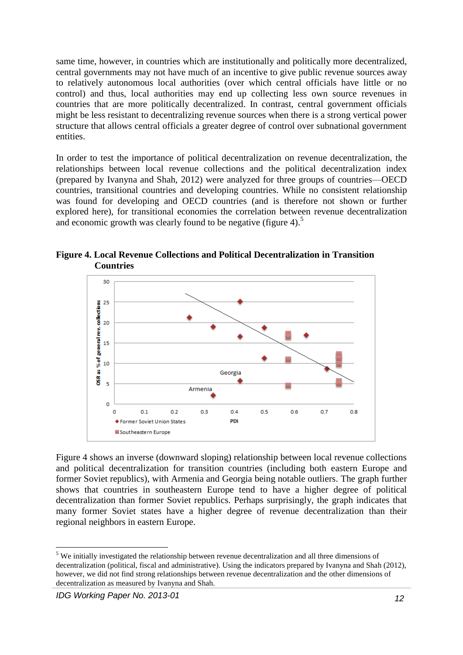same time, however, in countries which are institutionally and politically more decentralized, central governments may not have much of an incentive to give public revenue sources away to relatively autonomous local authorities (over which central officials have little or no control) and thus, local authorities may end up collecting less own source revenues in countries that are more politically decentralized. In contrast, central government officials might be less resistant to decentralizing revenue sources when there is a strong vertical power structure that allows central officials a greater degree of control over subnational government entities.

In order to test the importance of political decentralization on revenue decentralization, the relationships between local revenue collections and the political decentralization index (prepared by Ivanyna and Shah, 2012) were analyzed for three groups of countries—OECD countries, transitional countries and developing countries. While no consistent relationship was found for developing and OECD countries (and is therefore not shown or further explored here), for transitional economies the correlation between revenue decentralization and economic growth was clearly found to be negative (figure 4).<sup>5</sup>



**Figure 4. Local Revenue Collections and Political Decentralization in Transition Countries**

Figure 4 shows an inverse (downward sloping) relationship between local revenue collections and political decentralization for transition countries (including both eastern Europe and former Soviet republics), with Armenia and Georgia being notable outliers. The graph further shows that countries in southeastern Europe tend to have a higher degree of political decentralization than former Soviet republics. Perhaps surprisingly, the graph indicates that many former Soviet states have a higher degree of revenue decentralization than their regional neighbors in eastern Europe.

**<sup>.</sup>**  $<sup>5</sup>$  We initially investigated the relationship between revenue decentralization and all three dimensions of</sup> decentralization (political, fiscal and administrative). Using the indicators prepared by Ivanyna and Shah (2012), however, we did not find strong relationships between revenue decentralization and the other dimensions of decentralization as measured by Ivanyna and Shah.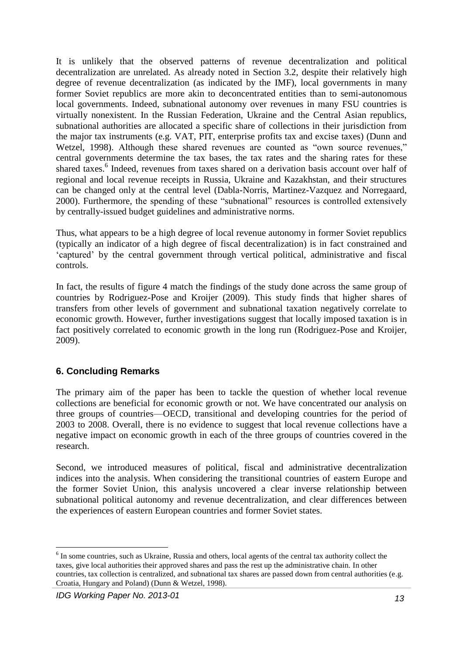It is unlikely that the observed patterns of revenue decentralization and political decentralization are unrelated. As already noted in Section 3.2, despite their relatively high degree of revenue decentralization (as indicated by the IMF), local governments in many former Soviet republics are more akin to deconcentrated entities than to semi-autonomous local governments. Indeed, subnational autonomy over revenues in many FSU countries is virtually nonexistent. In the Russian Federation, Ukraine and the Central Asian republics, subnational authorities are allocated a specific share of collections in their jurisdiction from the major tax instruments (e.g. VAT, PIT, enterprise profits tax and excise taxes) (Dunn and Wetzel, 1998). Although these shared revenues are counted as "own source revenues," central governments determine the tax bases, the tax rates and the sharing rates for these shared taxes.<sup>6</sup> Indeed, revenues from taxes shared on a derivation basis account over half of regional and local revenue receipts in Russia, Ukraine and Kazakhstan, and their structures can be changed only at the central level (Dabla-Norris, Martinez-Vazquez and Norregaard, 2000). Furthermore, the spending of these "subnational" resources is controlled extensively by centrally-issued budget guidelines and administrative norms.

Thus, what appears to be a high degree of local revenue autonomy in former Soviet republics (typically an indicator of a high degree of fiscal decentralization) is in fact constrained and 'captured' by the central government through vertical political, administrative and fiscal controls.

In fact, the results of figure 4 match the findings of the study done across the same group of countries by Rodriguez-Pose and Kroijer (2009). This study finds that higher shares of transfers from other levels of government and subnational taxation negatively correlate to economic growth. However, further investigations suggest that locally imposed taxation is in fact positively correlated to economic growth in the long run (Rodriguez-Pose and Kroijer, 2009).

#### **6. Concluding Remarks**

The primary aim of the paper has been to tackle the question of whether local revenue collections are beneficial for economic growth or not. We have concentrated our analysis on three groups of countries—OECD, transitional and developing countries for the period of 2003 to 2008. Overall, there is no evidence to suggest that local revenue collections have a negative impact on economic growth in each of the three groups of countries covered in the research.

Second, we introduced measures of political, fiscal and administrative decentralization indices into the analysis. When considering the transitional countries of eastern Europe and the former Soviet Union, this analysis uncovered a clear inverse relationship between subnational political autonomy and revenue decentralization, and clear differences between the experiences of eastern European countries and former Soviet states.

**<sup>.</sup>** <sup>6</sup> In some countries, such as Ukraine, Russia and others, local agents of the central tax authority collect the taxes, give local authorities their approved shares and pass the rest up the administrative chain. In other countries, tax collection is centralized, and subnational tax shares are passed down from central authorities (e.g. Croatia, Hungary and Poland) (Dunn & Wetzel, 1998).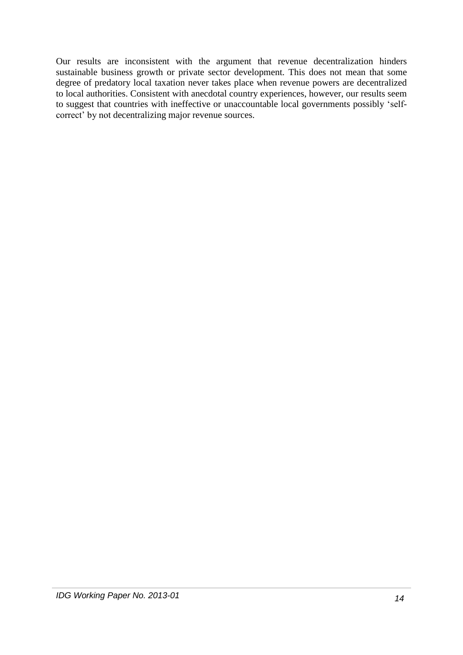Our results are inconsistent with the argument that revenue decentralization hinders sustainable business growth or private sector development. This does not mean that some degree of predatory local taxation never takes place when revenue powers are decentralized to local authorities. Consistent with anecdotal country experiences, however, our results seem to suggest that countries with ineffective or unaccountable local governments possibly 'selfcorrect' by not decentralizing major revenue sources.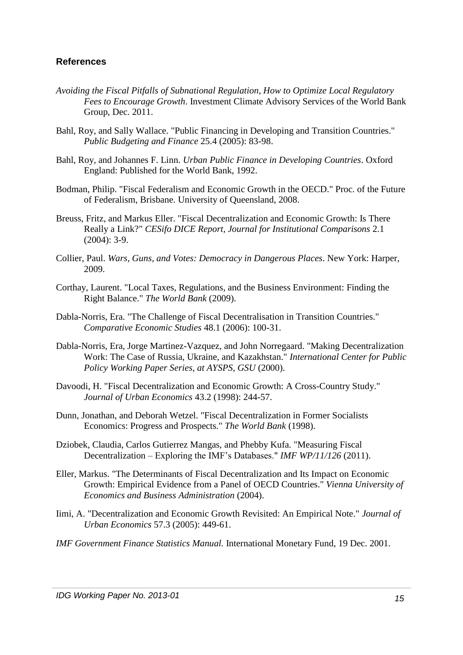#### **References**

- *Avoiding the Fiscal Pitfalls of Subnational Regulation, How to Optimize Local Regulatory Fees to Encourage Growth*. Investment Climate Advisory Services of the World Bank Group, Dec. 2011.
- Bahl, Roy, and Sally Wallace. "Public Financing in Developing and Transition Countries." *Public Budgeting and Finance* 25.4 (2005): 83-98.
- Bahl, Roy, and Johannes F. Linn. *Urban Public Finance in Developing Countries*. Oxford England: Published for the World Bank, 1992.
- Bodman, Philip. "Fiscal Federalism and Economic Growth in the OECD." Proc. of the Future of Federalism, Brisbane. University of Queensland, 2008.
- Breuss, Fritz, and Markus Eller. "Fiscal Decentralization and Economic Growth: Is There Really a Link?" *CESifo DICE Report, Journal for Institutional Comparisons* 2.1 (2004): 3-9.
- Collier, Paul. *Wars, Guns, and Votes: Democracy in Dangerous Places*. New York: Harper, 2009.
- Corthay, Laurent. "Local Taxes, Regulations, and the Business Environment: Finding the Right Balance." *The World Bank* (2009).
- Dabla-Norris, Era. "The Challenge of Fiscal Decentralisation in Transition Countries." *Comparative Economic Studies* 48.1 (2006): 100-31.
- Dabla-Norris, Era, Jorge Martinez-Vazquez, and John Norregaard. "Making Decentralization Work: The Case of Russia, Ukraine, and Kazakhstan." *International Center for Public Policy Working Paper Series, at AYSPS, GSU* (2000).
- Davoodi, H. "Fiscal Decentralization and Economic Growth: A Cross-Country Study." *Journal of Urban Economics* 43.2 (1998): 244-57.
- Dunn, Jonathan, and Deborah Wetzel. "Fiscal Decentralization in Former Socialists Economics: Progress and Prospects." *The World Bank* (1998).
- Dziobek, Claudia, Carlos Gutierrez Mangas, and Phebby Kufa. "Measuring Fiscal Decentralization – Exploring the IMF's Databases." *IMF WP/11/126* (2011).
- Eller, Markus. "The Determinants of Fiscal Decentralization and Its Impact on Economic Growth: Empirical Evidence from a Panel of OECD Countries." *Vienna University of Economics and Business Administration* (2004).
- Iimi, A. "Decentralization and Economic Growth Revisited: An Empirical Note." *Journal of Urban Economics* 57.3 (2005): 449-61.
- *IMF Government Finance Statistics Manual.* International Monetary Fund, 19 Dec. 2001.